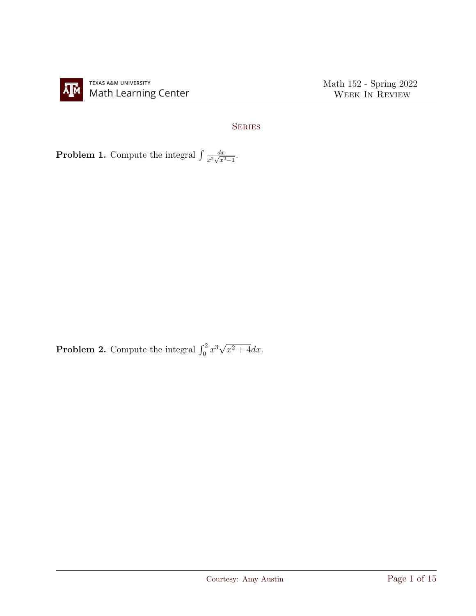

## **SERIES**

**Problem 1.** Compute the integral  $\int \frac{dx}{a^2 \sqrt{a^2}}$  $\frac{dx}{x^2\sqrt{x^2-1}}.$ 

**Problem 2.** Compute the integral  $\int_0^2 x^3 \sqrt{ }$  $x^2+4dx$ .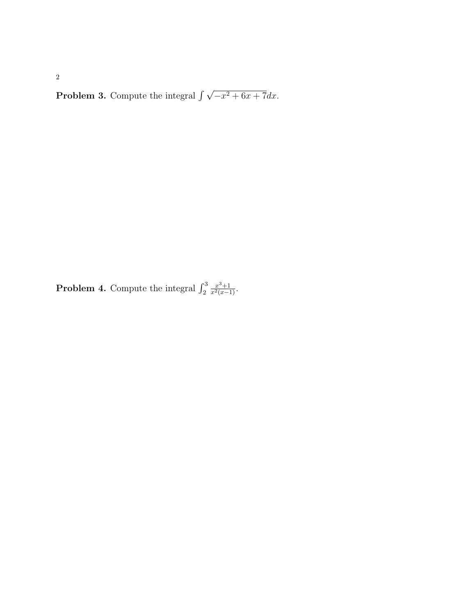**Problem 3.** Compute the integral  $\int \sqrt{-x^2 + 6x + 7} dx$ .

**Problem 4.** Compute the integral  $\int_2^3$  $\frac{x^3+1}{x^2(x-1)}$ .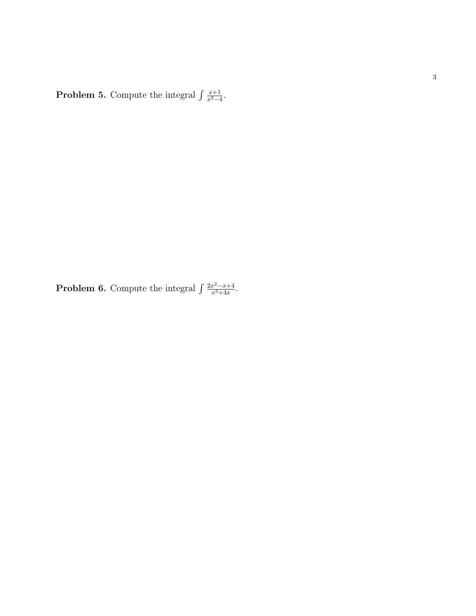**Problem 5.** Compute the integral  $\int \frac{x+1}{x^2} dx$  $\frac{x+1}{x^2-4}.$ 

**Problem 6.** Compute the integral  $\int \frac{2x^2 - x + 4}{x^3 + 4x}$  $\frac{x^2-x+4}{x^3+4x}$ .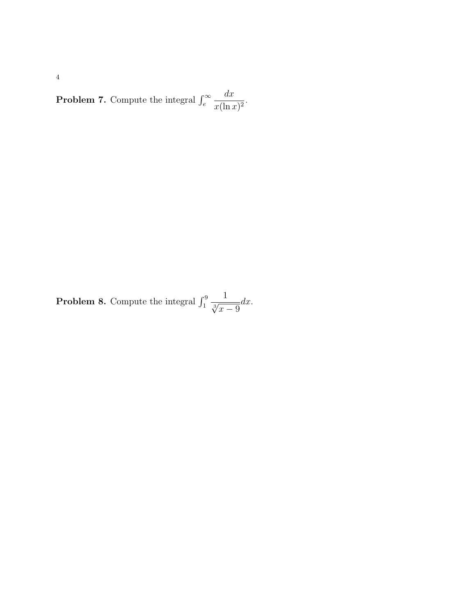**Problem 7.** Compute the integral  $\int_{e}^{\infty}$  $dx$  $\frac{d x}{x(\ln x)^2}.$ 

**Problem 8.** Compute the integral  $\int_1^9$  $\frac{1}{\sqrt[3]{x-9}}dx.$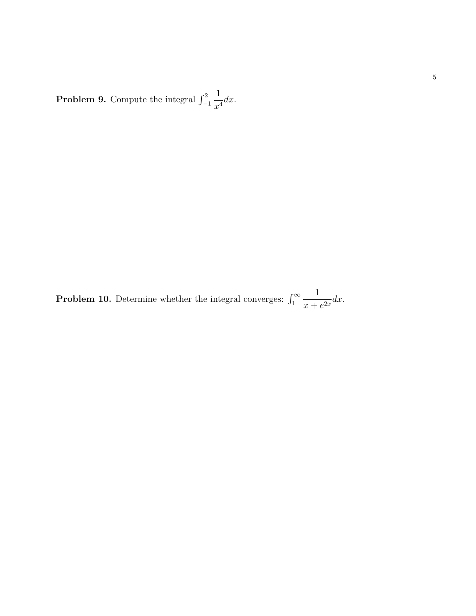**Problem 9.** Compute the integral  $\int_{-1}^{2}$ 1  $\frac{1}{x^4}dx$ .

**Problem 10.** Determine whether the integral converges:  $\int_1^{\infty}$ 1  $\frac{1}{x+e^{2x}}dx.$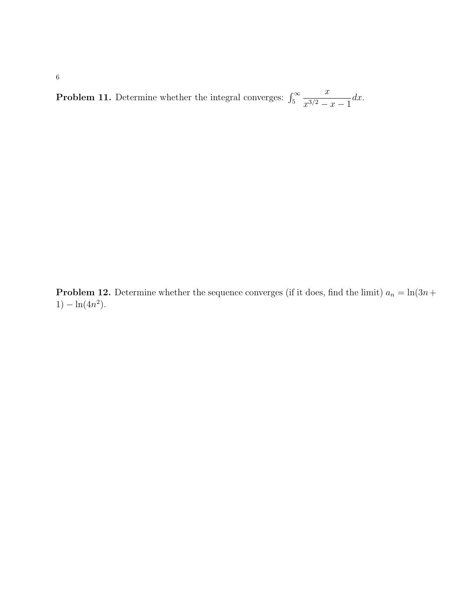**Problem 11.** Determine whether the integral converges:  $\int_5^\infty$  $\boldsymbol{x}$  $\int_{0}^{\infty} \frac{x}{x^{3/2} - x - 1} dx.$ 

**Problem 12.** Determine whether the sequence converges (if it does, find the limit)  $a_n = \ln(3n +$ 1) –  $\ln(4n^2)$ .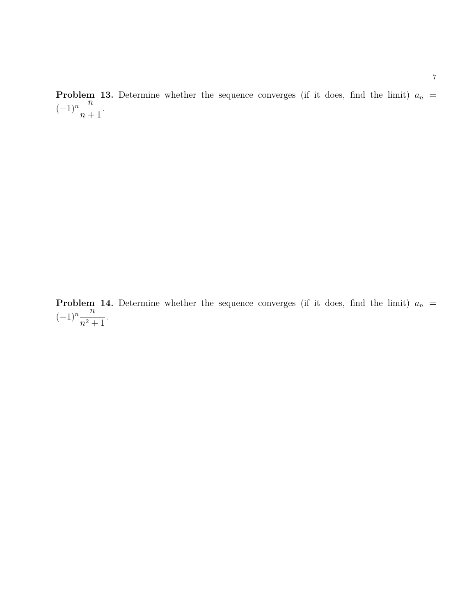**Problem 13.** Determine whether the sequence converges (if it does, find the limit)  $a_n$  =  $(-1)^n \frac{n}{n}$  $n+1$ .

**Problem 14.** Determine whether the sequence converges (if it does, find the limit)  $a_n$  =  $(-1)^n \frac{n}{2}$  $\frac{n}{n^2+1}$ .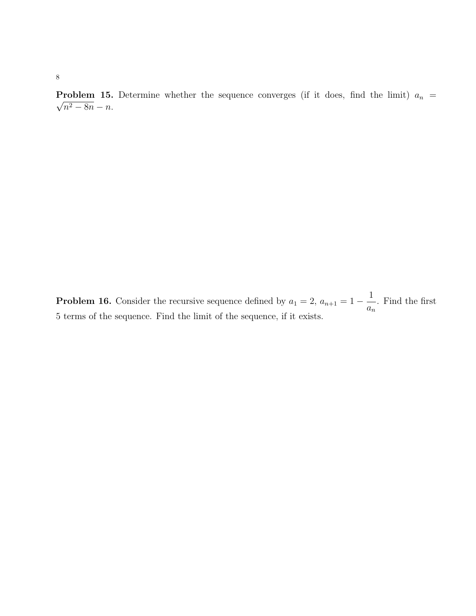**Problem 15.** Determine whether the sequence converges (if it does, find the limit)  $a_n = \sqrt{a_n a_n}$  $n^2 - 8n - n$ .

**Problem 16.** Consider the recursive sequence defined by  $a_1 = 2$ ,  $a_{n+1} = 1 - \frac{1}{n}$  $a_n$ . Find the first 5 terms of the sequence. Find the limit of the sequence, if it exists.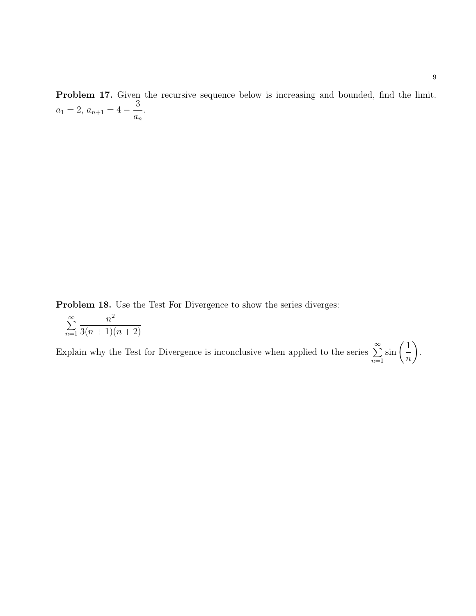**Problem 17.** Given the recursive sequence below is increasing and bounded, find the limit.  $a_1 = 2, a_{n+1} = 4 - \frac{3}{5}$  $a_n$ .

Problem 18. Use the Test For Divergence to show the series diverges:

$$
\sum_{n=1}^{\infty} \frac{n^2}{3(n+1)(n+2)}
$$

Explain why the Test for Divergence is inconclusive when applied to the series  $\sum^{\infty}$  $n=1$  $\sin\left( \frac{1}{2}\right)$ n  $\setminus$ .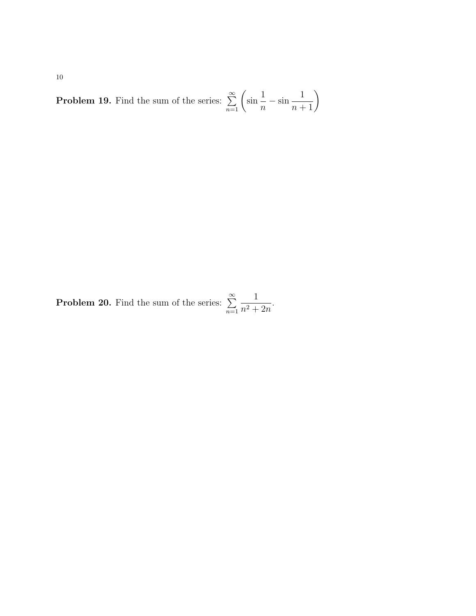**Problem 19.** Find the sum of the series:  $\sum_{n=1}^{\infty}$ sin 1 n  $-\sin\frac{1}{n+1}$ 

**Problem 20.** Find the sum of the series:  $\sum_{n=1}^{\infty}$  $n=1$ 1  $\frac{1}{n^2+2n}$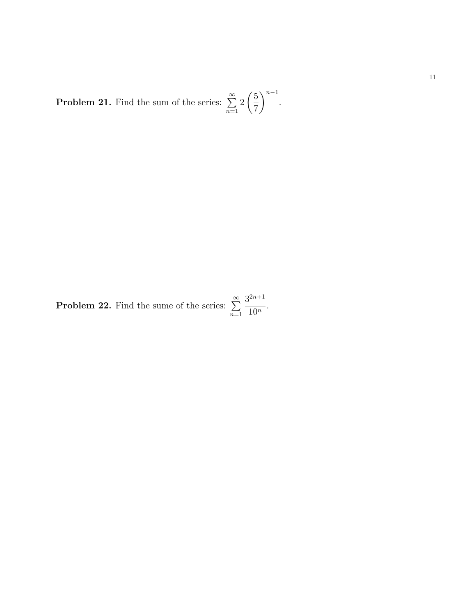**Problem 21.** Find the sum of the series:  $\sum_{n=1}^{\infty}$  $n=1$ 2  $\sqrt{5}$ 7  $\setminus^{n-1}$ .

**Problem 22.** Find the sume of the series:  $\sum_{n=1}^{\infty}$  $n=1$  $3^{2n+1}$  $\frac{1}{10^n}$ .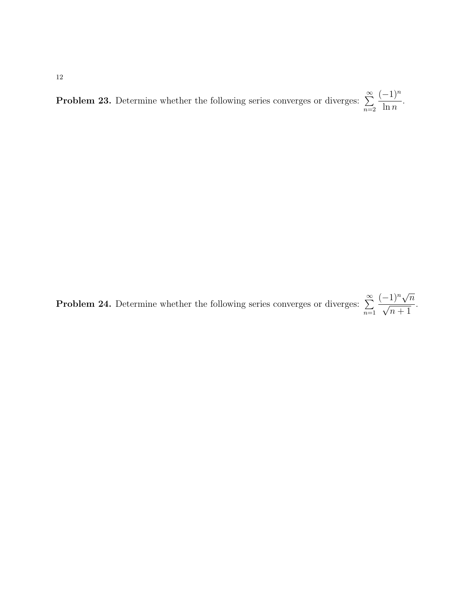**Problem 23.** Determine whether the following series converges or diverges:  $\sum_{n=1}^{\infty}$  $n=2$  $(-1)^n$  $\ln n$ .

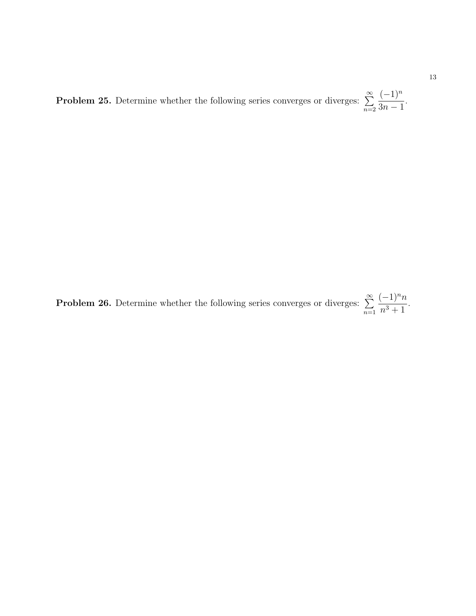**Problem 25.** Determine whether the following series converges or diverges:  $\sum_{n=1}^{\infty}$  $n=2$  $(-1)^n$  $3n-1$ .

**Problem 26.** Determine whether the following series converges or diverges:  $\sum^{\infty}$  $n=1$  $(-1)^nn$  $\frac{1}{n^3+1}$ .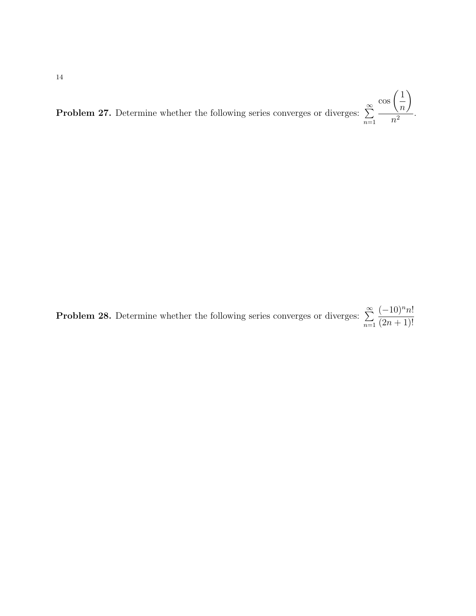**Problem 27.** Determine whether the following series converges or diverges:  $\sum_{n=1}^{\infty}$  $n=1$  $\cos\left( \frac{1}{2}\right)$ n  $\setminus$  $\frac{\sqrt{n}}{n^2}$ .

**Problem 28.** Determine whether the following series converges or diverges:  $\sum_{n=1}^{\infty}$  $n=1$  $(-10)^nn!$  $(2n + 1)!$